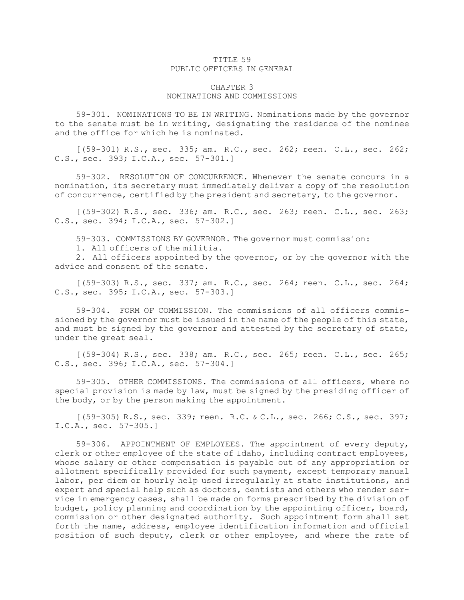## TITLE 59 PUBLIC OFFICERS IN GENERAL

## CHAPTER 3 NOMINATIONS AND COMMISSIONS

59-301. NOMINATIONS TO BE IN WRITING. Nominations made by the governor to the senate must be in writing, designating the residence of the nominee and the office for which he is nominated.

[(59-301) R.S., sec. 335; am. R.C., sec. 262; reen. C.L., sec. 262; C.S., sec. 393; I.C.A., sec. 57-301.]

59-302. RESOLUTION OF CONCURRENCE. Whenever the senate concurs in <sup>a</sup> nomination, its secretary must immediately deliver <sup>a</sup> copy of the resolution of concurrence, certified by the president and secretary, to the governor.

[(59-302) R.S., sec. 336; am. R.C., sec. 263; reen. C.L., sec. 263; C.S., sec. 394; I.C.A., sec. 57-302.]

59-303. COMMISSIONS BY GOVERNOR. The governor must commission:

1. All officers of the militia.

2. All officers appointed by the governor, or by the governor with the advice and consent of the senate.

[(59-303) R.S., sec. 337; am. R.C., sec. 264; reen. C.L., sec. 264; C.S., sec. 395; I.C.A., sec. 57-303.]

59-304. FORM OF COMMISSION. The commissions of all officers commissioned by the governor must be issued in the name of the people of this state, and must be signed by the governor and attested by the secretary of state, under the great seal.

[(59-304) R.S., sec. 338; am. R.C., sec. 265; reen. C.L., sec. 265; C.S., sec. 396; I.C.A., sec. 57-304.]

59-305. OTHER COMMISSIONS. The commissions of all officers, where no special provision is made by law, must be signed by the presiding officer of the body, or by the person making the appointment.

[(59-305) R.S., sec. 339; reen. R.C. & C.L., sec. 266; C.S., sec. 397; I.C.A., sec. 57-305.]

59-306. APPOINTMENT OF EMPLOYEES. The appointment of every deputy, clerk or other employee of the state of Idaho, including contract employees, whose salary or other compensation is payable out of any appropriation or allotment specifically provided for such payment, except temporary manual labor, per diem or hourly help used irregularly at state institutions, and expert and special help such as doctors, dentists and others who render service in emergency cases, shall be made on forms prescribed by the division of budget, policy planning and coordination by the appointing officer, board, commission or other designated authority. Such appointment form shall set forth the name, address, employee identification information and official position of such deputy, clerk or other employee, and where the rate of